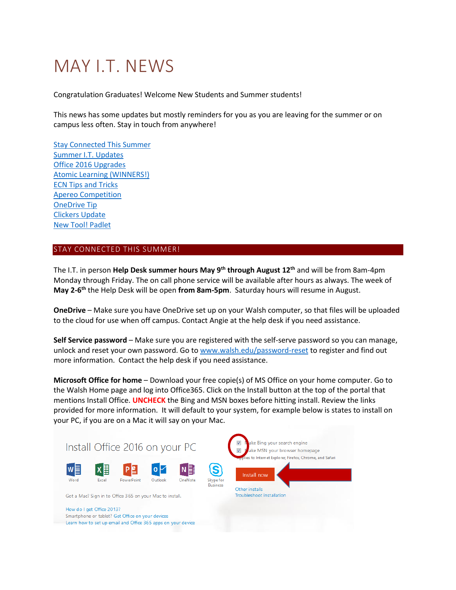# MAY I.T. NEWS

Congratulation Graduates! Welcome New Students and Summer students!

This news has some updates but mostly reminders for you as you are leaving for the summer or on campus less often. Stay in touch from anywhere!

<span id="page-0-1"></span>[Stay Connected This Summer](#page-0-0) [Summer I.T. Updates](#page-1-0) [Office 2016 Upgrades](#page-1-1) [Atomic Learning \(WINNERS!\)](#page-1-2) [ECN Tips and Tricks](#page-2-0) [Apereo Competition](#page-0-1) [OneDrive Tip](#page-4-0) [Clickers Update](#page-4-1) [New Tool! Padlet](#page-4-2)

# <span id="page-0-0"></span>STAY CONNECTED THIS SUMMER!

The I.T. in person **Help Desk summer hours May 9th through August 12th** and will be from 8am-4pm Monday through Friday. The on call phone service will be available after hours as always. The week of **May 2-6 th** the Help Desk will be open **from 8am-5pm**. Saturday hours will resume in August.

**OneDrive** – Make sure you have OneDrive set up on your Walsh computer, so that files will be uploaded to the cloud for use when off campus. Contact Angie at the help desk if you need assistance.

**Self Service password** – Make sure you are registered with the self-serve password so you can manage, unlock and reset your own password. Go to [www.walsh.edu/password-reset](http://www.walsh.edu/password-reset) to register and find out more information. Contact the help desk if you need assistance.

**Microsoft Office for home** – Download your free copie(s) of MS Office on your home computer. Go to the Walsh Home page and log into Office365. Click on the Install button at the top of the portal that mentions Install Office. **UNCHECK** the Bing and MSN boxes before hitting install. Review the links provided for more information. It will default to your system, for example below is states to install on your PC, if you are on a Mac it will say on your Mac.

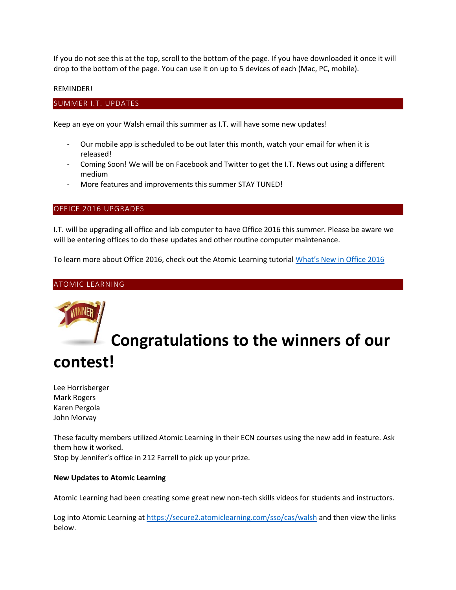If you do not see this at the top, scroll to the bottom of the page. If you have downloaded it once it will drop to the bottom of the page. You can use it on up to 5 devices of each (Mac, PC, mobile).

# REMINDER!

# <span id="page-1-0"></span>SUMMER I.T. UPDATES

Keep an eye on your Walsh email this summer as I.T. will have some new updates!

- Our mobile app is scheduled to be out later this month, watch your email for when it is released!
- Coming Soon! We will be on Facebook and Twitter to get the I.T. News out using a different medium
- More features and improvements this summer STAY TUNED!

# <span id="page-1-1"></span>OFFICE 2016 UPGRADES

I.T. will be upgrading all office and lab computer to have Office 2016 this summer. Please be aware we will be entering offices to do these updates and other routine computer maintenance.

To learn more about Office 2016, check out the Atomic Learning tutorial [What's New in Office 2016](https://www.atomiclearning.com/highed/new-office-2016-bigger-brains-training)

# <span id="page-1-2"></span>ATOMIC LEARNING

# **Congratulations to the winners of our contest!**

Lee Horrisberger Mark Rogers Karen Pergola John Morvay

These faculty members utilized Atomic Learning in their ECN courses using the new add in feature. Ask them how it worked. Stop by Jennifer's office in 212 Farrell to pick up your prize.

# **New Updates to Atomic Learning**

Atomic Learning had been creating some great new non-tech skills videos for students and instructors.

Log into Atomic Learning at<https://secure2.atomiclearning.com/sso/cas/walsh> and then view the links below.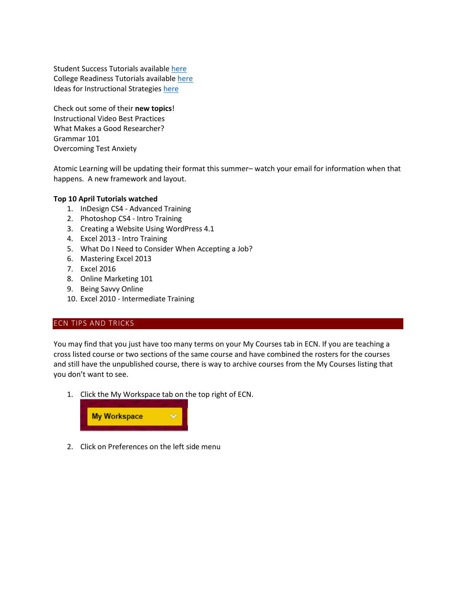Student Success Tutorials available [here](https://www.atomiclearning.com/highed/home?q=being+a+college+student&selected_apps=Being+a+College+Student&selected_topics=All+topics&selected_categories=) College Readiness Tutorials availabl[e here](https://www.atomiclearning.com/highed/home?q=college+readiness&selected_topics=All+topics&selected_categories=) Ideas for Instructional Strategies [here](https://www.atomiclearning.com/highed/home?q=instructional+strategies&selected_topics=All+topics&selected_categories=)

Check out some of their **new topics**! Instructional Video Best Practices What Makes a Good Researcher? Grammar 101 Overcoming Test Anxiety

Atomic Learning will be updating their format this summer– watch your email for information when that happens. A new framework and layout.

# **Top 10 April Tutorials watched**

- 1. InDesign CS4 Advanced Training
- 2. Photoshop CS4 Intro Training
- 3. Creating a Website Using WordPress 4.1
- 4. Excel 2013 Intro Training
- 5. What Do I Need to Consider When Accepting a Job?
- 6. Mastering Excel 2013
- 7. Excel 2016
- 8. Online Marketing 101
- 9. Being Savvy Online
- 10. Excel 2010 Intermediate Training

# <span id="page-2-0"></span>ECN TIPS AND TRICKS

You may find that you just have too many terms on your My Courses tab in ECN. If you are teaching a cross listed course or two sections of the same course and have combined the rosters for the courses and still have the unpublished course, there is way to archive courses from the My Courses listing that you don't want to see.

1. Click the My Workspace tab on the top right of ECN.



2. Click on Preferences on the left side menu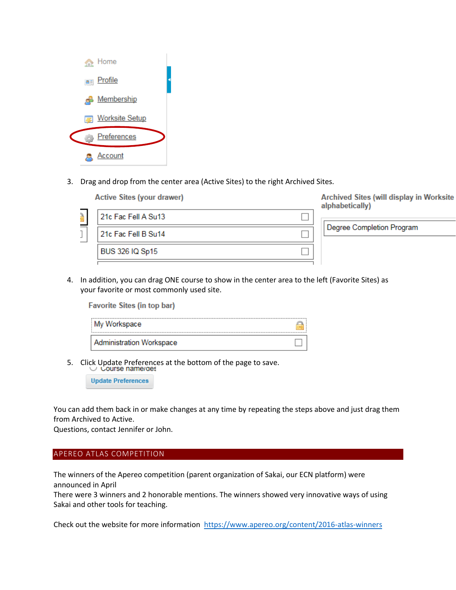

3. Drag and drop from the center area (Active Sites) to the right Archived Sites.

| <b>Active Sites (your drawer)</b> | Archived Sites (will display in Worksite<br>alphabetically) |
|-----------------------------------|-------------------------------------------------------------|
| 21c Fac Fell A Su13               |                                                             |
| 21c Fac Fell B Su14               | Degree Completion Program                                   |
| <b>BUS 326 IQ Sp15</b>            |                                                             |
|                                   |                                                             |

4. In addition, you can drag ONE course to show in the center area to the left (Favorite Sites) as your favorite or most commonly used site.

Favorite Sites (in top bar)

| My Workspace                    |  |
|---------------------------------|--|
| <b>Administration Workspace</b> |  |

5. Click Update Preferences at the bottom of the page to save.<br>U Course name/des

**Update Preferences** 

You can add them back in or make changes at any time by repeating the steps above and just drag them from Archived to Active.

Questions, contact Jennifer or John.

# APEREO ATLAS COMPETITION

The winners of the Apereo competition (parent organization of Sakai, our ECN platform) were announced in April

There were 3 winners and 2 honorable mentions. The winners showed very innovative ways of using Sakai and other tools for teaching.

Check out the website for more information <https://www.apereo.org/content/2016-atlas-winners>